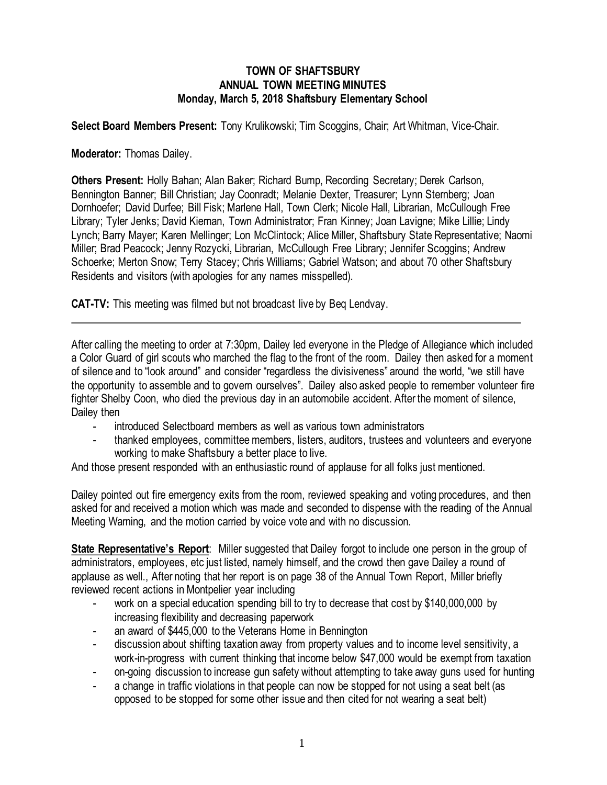## **TOWN OF SHAFTSBURY ANNUAL TOWN MEETING MINUTES Monday, March 5, 2018 Shaftsbury Elementary School**

**Select Board Members Present:** Tony Krulikowski; Tim Scoggins*,* Chair; Art Whitman, Vice-Chair.

**Moderator:** Thomas Dailey.

**Others Present:** Holly Bahan; Alan Baker; Richard Bump, Recording Secretary; Derek Carlson, Bennington Banner; Bill Christian; Jay Coonradt; Melanie Dexter, Treasurer; Lynn Sternberg; Joan Dornhoefer; David Durfee; Bill Fisk; Marlene Hall, Town Clerk; Nicole Hall, Librarian, McCullough Free Library; Tyler Jenks; David Kiernan, Town Administrator; Fran Kinney; Joan Lavigne; Mike Lillie; Lindy Lynch; Barry Mayer; Karen Mellinger; Lon McClintock; Alice Miller, Shaftsbury State Representative; Naomi Miller; Brad Peacock; Jenny Rozycki, Librarian, McCullough Free Library; Jennifer Scoggins; Andrew Schoerke; Merton Snow; Terry Stacey; Chris Williams; Gabriel Watson; and about 70 other Shaftsbury Residents and visitors (with apologies for any names misspelled).

**CAT-TV:** This meeting was filmed but not broadcast live by Beq Lendvay.

After calling the meeting to order at 7:30pm, Dailey led everyone in the Pledge of Allegiance which included a Color Guard of girl scouts who marched the flag to the front of the room. Dailey then asked for a moment of silence and to "look around" and consider "regardless the divisiveness" around the world, "we still have the opportunity to assemble and to govern ourselves". Dailey also asked people to remember volunteer fire fighter Shelby Coon, who died the previous day in an automobile accident. After the moment of silence, Dailey then

- introduced Selectboard members as well as various town administrators
- thanked employees, committee members, listers, auditors, trustees and volunteers and everyone working to make Shaftsbury a better place to live.

And those present responded with an enthusiastic round of applause for all folks just mentioned.

Dailey pointed out fire emergency exits from the room, reviewed speaking and voting procedures, and then asked for and received a motion which was made and seconded to dispense with the reading of the Annual Meeting Warning, and the motion carried by voice vote and with no discussion.

**State Representative's Report**: Miller suggested that Dailey forgot to include one person in the group of administrators, employees, etc just listed, namely himself, and the crowd then gave Dailey a round of applause as well., After noting that her report is on page 38 of the Annual Town Report, Miller briefly reviewed recent actions in Montpelier year including

- work on a special education spending bill to try to decrease that cost by \$140,000,000 by increasing flexibility and decreasing paperwork
- an award of \$445,000 to the Veterans Home in Bennington
- discussion about shifting taxation away from property values and to income level sensitivity, a work-in-progress with current thinking that income below \$47,000 would be exempt from taxation
- on-going discussion to increase gun safety without attempting to take away guns used for hunting
- a change in traffic violations in that people can now be stopped for not using a seat belt (as opposed to be stopped for some other issue and then cited for not wearing a seat belt)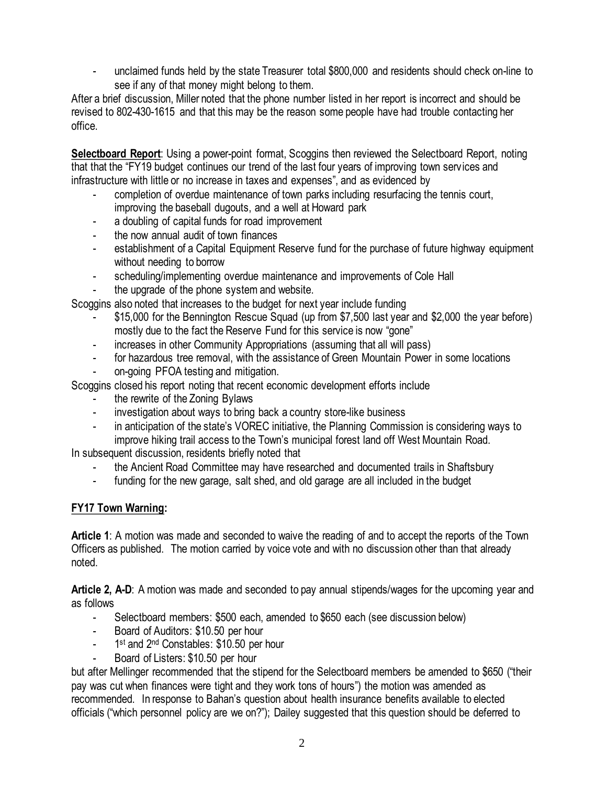- unclaimed funds held by the state Treasurer total \$800,000 and residents should check on-line to see if any of that money might belong to them.

After a brief discussion, Miller noted that the phone number listed in her report is incorrect and should be revised to 802-430-1615 and that this may be the reason some people have had trouble contacting her office.

**Selectboard Report**: Using a power-point format, Scoggins then reviewed the Selectboard Report, noting that that the "FY19 budget continues our trend of the last four years of improving town services and infrastructure with little or no increase in taxes and expenses", and as evidenced by

- completion of overdue maintenance of town parks including resurfacing the tennis court, improving the baseball dugouts, and a well at Howard park
- a doubling of capital funds for road improvement
- the now annual audit of town finances
- establishment of a Capital Equipment Reserve fund for the purchase of future highway equipment without needing to borrow
- scheduling/implementing overdue maintenance and improvements of Cole Hall
- the upgrade of the phone system and website.

Scoggins also noted that increases to the budget for next year include funding

- \$15,000 for the Bennington Rescue Squad (up from \$7,500 last year and \$2,000 the year before) mostly due to the fact the Reserve Fund for this service is now "gone"
- increases in other Community Appropriations (assuming that all will pass)
- for hazardous tree removal, with the assistance of Green Mountain Power in some locations
- on-going PFOA testing and mitigation.

Scoggins closed his report noting that recent economic development efforts include

- the rewrite of the Zoning Bylaws
- investigation about ways to bring back a country store-like business
- in anticipation of the state's VOREC initiative, the Planning Commission is considering ways to improve hiking trail access to the Town's municipal forest land off West Mountain Road.

In subsequent discussion, residents briefly noted that

- the Ancient Road Committee may have researched and documented trails in Shaftsbury
- funding for the new garage, salt shed, and old garage are all included in the budget

## **FY17 Town Warning:**

**Article 1**: A motion was made and seconded to waive the reading of and to accept the reports of the Town Officers as published. The motion carried by voice vote and with no discussion other than that already noted.

**Article 2, A-D**: A motion was made and seconded to pay annual stipends/wages for the upcoming year and as follows

- Selectboard members: \$500 each, amended to \$650 each (see discussion below)
- Board of Auditors: \$10.50 per hour
- 1<sup>st</sup> and 2<sup>nd</sup> Constables: \$10.50 per hour
- Board of Listers: \$10.50 per hour

but after Mellinger recommended that the stipend for the Selectboard members be amended to \$650 ("their pay was cut when finances were tight and they work tons of hours") the motion was amended as recommended. In response to Bahan's question about health insurance benefits available to elected officials ("which personnel policy are we on?"); Dailey suggested that this question should be deferred to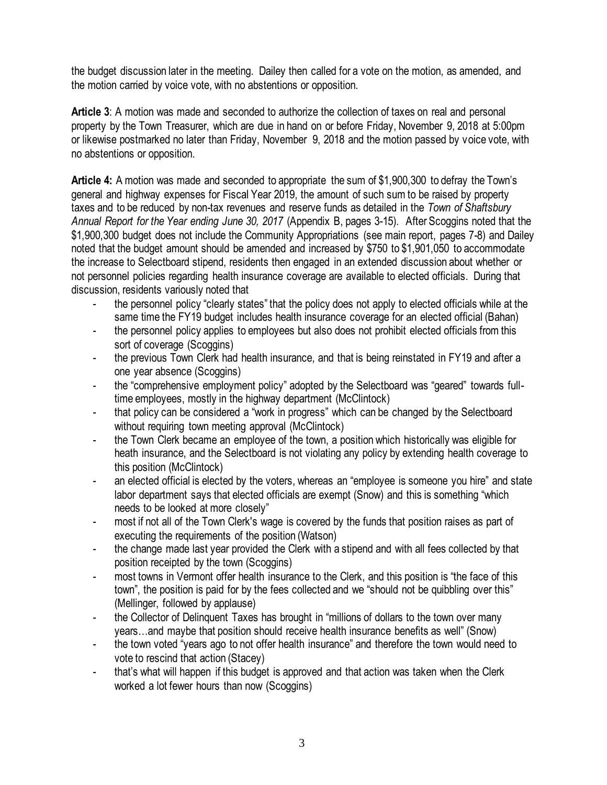the budget discussion later in the meeting. Dailey then called for a vote on the motion, as amended, and the motion carried by voice vote, with no abstentions or opposition.

**Article 3**: A motion was made and seconded to authorize the collection of taxes on real and personal property by the Town Treasurer, which are due in hand on or before Friday, November 9, 2018 at 5:00pm or likewise postmarked no later than Friday, November 9, 2018 and the motion passed by voice vote, with no abstentions or opposition.

**Article 4:** A motion was made and seconded to appropriate the sum of \$1,900,300 to defray the Town's general and highway expenses for Fiscal Year 2019, the amount of such sum to be raised by property taxes and to be reduced by non-tax revenues and reserve funds as detailed in the *Town of Shaftsbury Annual Report for the Year ending June 30, 2017* (Appendix B, pages 3-15). After Scoggins noted that the \$1,900,300 budget does not include the Community Appropriations (see main report, pages 7-8) and Dailey noted that the budget amount should be amended and increased by \$750 to \$1,901,050 to accommodate the increase to Selectboard stipend, residents then engaged in an extended discussion about whether or not personnel policies regarding health insurance coverage are available to elected officials. During that discussion, residents variously noted that

- the personnel policy "clearly states" that the policy does not apply to elected officials while at the same time the FY19 budget includes health insurance coverage for an elected official (Bahan)
- the personnel policy applies to employees but also does not prohibit elected officials from this sort of coverage (Scoggins)
- the previous Town Clerk had health insurance, and that is being reinstated in FY19 and after a one year absence (Scoggins)
- the "comprehensive employment policy" adopted by the Selectboard was "geared" towards fulltime employees, mostly in the highway department (McClintock)
- that policy can be considered a "work in progress" which can be changed by the Selectboard without requiring town meeting approval (McClintock)
- the Town Clerk became an employee of the town, a position which historically was eligible for heath insurance, and the Selectboard is not violating any policy by extending health coverage to this position (McClintock)
- an elected official is elected by the voters, whereas an "employee is someone you hire" and state labor department says that elected officials are exempt (Snow) and this is something "which needs to be looked at more closely"
- most if not all of the Town Clerk's wage is covered by the funds that position raises as part of executing the requirements of the position (Watson)
- the change made last year provided the Clerk with a stipend and with all fees collected by that position receipted by the town (Scoggins)
- most towns in Vermont offer health insurance to the Clerk, and this position is "the face of this town", the position is paid for by the fees collected and we "should not be quibbling over this" (Mellinger, followed by applause)
- the Collector of Delinquent Taxes has brought in "millions of dollars to the town over many years…and maybe that position should receive health insurance benefits as well" (Snow)
- the town voted "years ago to not offer health insurance" and therefore the town would need to vote to rescind that action (Stacey)
- that's what will happen if this budget is approved and that action was taken when the Clerk worked a lot fewer hours than now (Scoggins)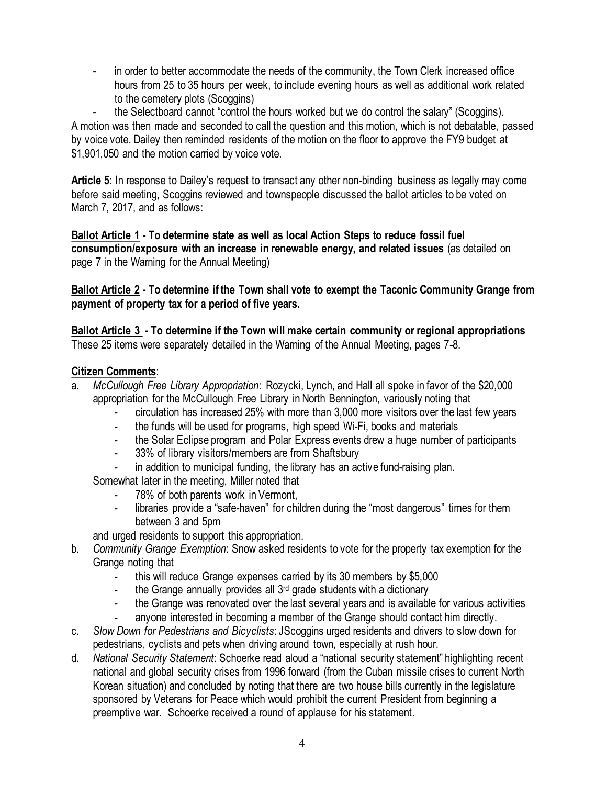- in order to better accommodate the needs of the community, the Town Clerk increased office hours from 25 to 35 hours per week, to include evening hours as well as additional work related to the cemetery plots (Scoggins)

- the Selectboard cannot "control the hours worked but we do control the salary" (Scoggins). A motion was then made and seconded to call the question and this motion, which is not debatable, passed by voice vote. Dailey then reminded residents of the motion on the floor to approve the FY9 budget at \$1,901,050 and the motion carried by voice vote.

**Article 5**: In response to Dailey's request to transact any other non-binding business as legally may come before said meeting, Scoggins reviewed and townspeople discussed the ballot articles to be voted on March 7, 2017, and as follows:

**Ballot Article 1 - To determine state as well as local Action Steps to reduce fossil fuel consumption/exposure with an increase in renewable energy, and related issues** (as detailed on page 7 in the Warning for the Annual Meeting)

**Ballot Article 2 - To determine if the Town shall vote to exempt the Taconic Community Grange from payment of property tax for a period of five years.** 

**Ballot Article 3 - To determine if the Town will make certain community or regional appropriations** These 25 items were separately detailed in the Warning of the Annual Meeting, pages 7-8.

## **Citizen Comments**:

- a. *McCullough Free Library Appropriation*: Rozycki, Lynch, and Hall all spoke in favor of the \$20,000 appropriation for the McCullough Free Library in North Bennington, variously noting that
	- circulation has increased 25% with more than 3,000 more visitors over the last few years
	- the funds will be used for programs, high speed Wi-Fi, books and materials
	- the Solar Eclipse program and Polar Express events drew a huge number of participants
	- 33% of library visitors/members are from Shaftsbury
	- in addition to municipal funding, the library has an active fund-raising plan.

Somewhat later in the meeting, Miller noted that

- 78% of both parents work in Vermont.
- libraries provide a "safe-haven" for children during the "most dangerous" times for them between 3 and 5pm

and urged residents to support this appropriation.

- b. *Community Grange Exemption*: Snow asked residents to vote for the property tax exemption for the Grange noting that
	- this will reduce Grange expenses carried by its 30 members by \$5,000
	- the Grange annually provides all 3<sup>rd</sup> grade students with a dictionary
	- the Grange was renovated over the last several years and is available for various activities
	- anyone interested in becoming a member of the Grange should contact him directly.
- c. *Slow Down for Pedestrians and Bicyclists*: JScoggins urged residents and drivers to slow down for pedestrians, cyclists and pets when driving around town, especially at rush hour.
- d. *National Security Statement*: Schoerke read aloud a "national security statement" highlighting recent national and global security crises from 1996 forward (from the Cuban missile crises to current North Korean situation) and concluded by noting that there are two house bills currently in the legislature sponsored by Veterans for Peace which would prohibit the current President from beginning a preemptive war. Schoerke received a round of applause for his statement.